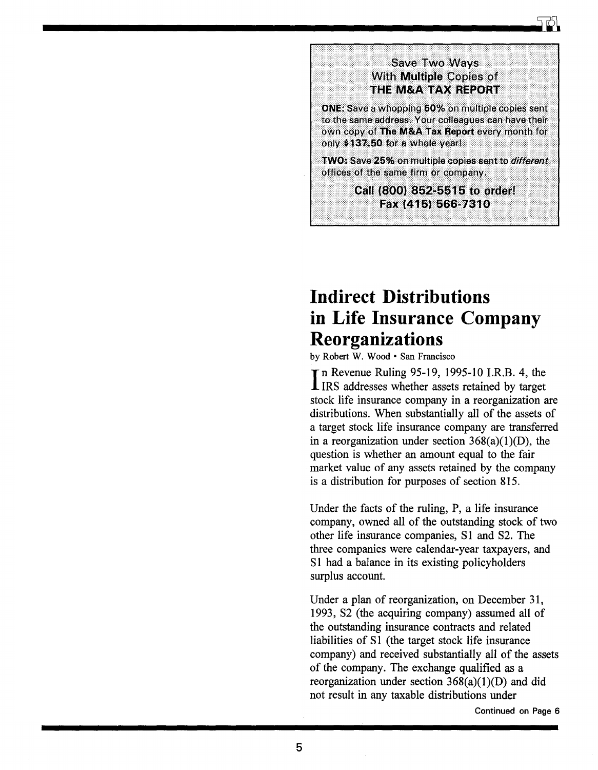## Save Two Ways **With Multiple Copies of** THE M8A TAX REPORT

ONE: Save a whopping 50% on multiple copies sent to the same address. Your colleagues can have their own copy of The M&A Tax Report every month for only \$137.50 for a whole year!

TWO: Save 25% on multiple copies sent to different offices of the same firm or company.

> Call (800) 852-5515 to order! Fax (415) 566-7310

## **Indirect Distributions in Life Insurance Company Reorganizations**

by Robert W. Wood · San Francisco

In Revenue Ruling 95-19, 1995-10 I.R.B. 4, the<br>IRS addresses whether assets retained by target  $\mathbf{T}$  n Revenue Ruling 95-19, 1995-10 I.R.B. 4, the stock life insurance company in a reorganization are distributions. When substantially all of the assets of a target stock life insurance company are transferred in a reorganization under section  $368(a)(1)(D)$ , the question is whether an amount equal to the fair market value of any assets retained by the company is a distribution for purposes of section 815.

Under the facts of the ruling, P, a life insurance company, owned all of the outstanding stock of two other life insurance companies, S1 and S2. The three companies were calendar-year taxpayers, and S1 had a balance in its existing policyholders surplus account.

Under a plan of reorganization, on December 31, 1993, S2 (the acquiring company) assumed all of the outstanding insurance contracts and related liabilities of S1 (the target stock life insurance company) and received substantially all of the assets of the company. The exchange qualified as a reorganization under section  $368(a)(1)(D)$  and did not result in any taxable distributions under

Continued on Page 6